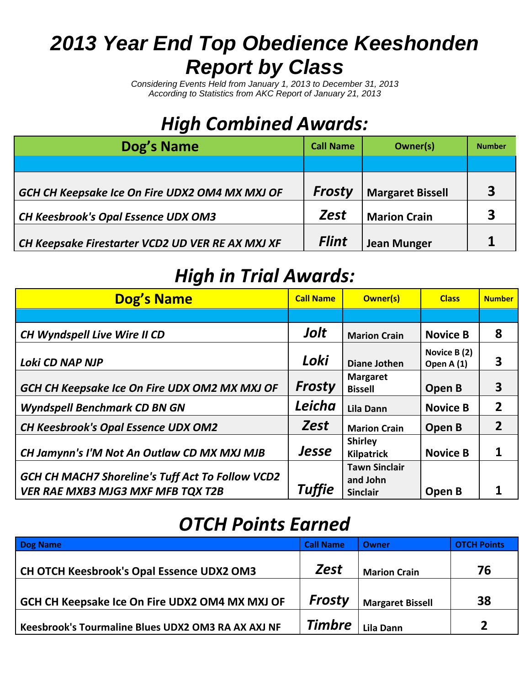# *2013 Year End Top Obedience Keeshonden Report by Class*

*Considering Events Held from January 1, 2013 to December 31, 2013 According to Statistics from AKC Report of January 21, 2013*

## *High Combined Awards:*

| Dog's Name                                       | <b>Call Name</b> | Owner(s)                | <b>Number</b> |
|--------------------------------------------------|------------------|-------------------------|---------------|
|                                                  |                  |                         |               |
| GCH CH Keepsake Ice On Fire UDX2 OM4 MX MXJ OF   | <b>Frosty</b>    | <b>Margaret Bissell</b> | 3             |
| <b>CH Keesbrook's Opal Essence UDX OM3</b>       | <b>Zest</b>      | <b>Marion Crain</b>     | 3             |
| CH Keepsake Firestarter VCD2 UD VER RE AX MXJ XF | <b>Flint</b>     | <b>Jean Munger</b>      |               |

### *High in Trial Awards:*

| <b>Dog's Name</b>                                                                            | <b>Call Name</b> | <b>Owner(s)</b>                                     | <b>Class</b>               | <b>Number</b>  |
|----------------------------------------------------------------------------------------------|------------------|-----------------------------------------------------|----------------------------|----------------|
|                                                                                              |                  |                                                     |                            |                |
| <b>CH Wyndspell Live Wire II CD</b>                                                          | Jolt             | <b>Marion Crain</b>                                 | <b>Novice B</b>            | 8              |
| Loki CD NAP NJP                                                                              | Loki             | <b>Diane Jothen</b>                                 | Novice B (2)<br>Open A (1) | 3              |
| GCH CH Keepsake Ice On Fire UDX OM2 MX MXJ OF                                                | Frosty           | <b>Margaret</b><br><b>Bissell</b>                   | Open B                     | 3              |
| <b>Wyndspell Benchmark CD BN GN</b>                                                          | Leicha           | <b>Lila Dann</b>                                    | <b>Novice B</b>            | $\overline{2}$ |
| <b>CH Keesbrook's Opal Essence UDX OM2</b>                                                   | <b>Zest</b>      | <b>Marion Crain</b>                                 | Open B                     | $\overline{2}$ |
| CH Jamynn's I'M Not An Outlaw CD MX MXJ MJB                                                  | Jesse            | <b>Shirley</b><br>Kilpatrick                        | <b>Novice B</b>            |                |
| GCH CH MACH7 Shoreline's Tuff Act To Follow VCD2<br><b>VER RAE MXB3 MJG3 MXF MFB TQX T2B</b> | Tuffie           | <b>Tawn Sinclair</b><br>and John<br><b>Sinclair</b> | Open B                     |                |

## *OTCH Points Earned*

| <b>Dog Name</b>                                    | <b>Call Name</b> | Owner                   | <b>OTCH Points</b> |
|----------------------------------------------------|------------------|-------------------------|--------------------|
| CH OTCH Keesbrook's Opal Essence UDX2 OM3          | <b>Zest</b>      | <b>Marion Crain</b>     | 76                 |
| GCH CH Keepsake Ice On Fire UDX2 OM4 MX MXJ OF     | <b>Frosty</b>    | <b>Margaret Bissell</b> | 38                 |
| Keesbrook's Tourmaline Blues UDX2 OM3 RA AX AXJ NF | <b>Timbre</b>    | <b>Lila Dann</b>        |                    |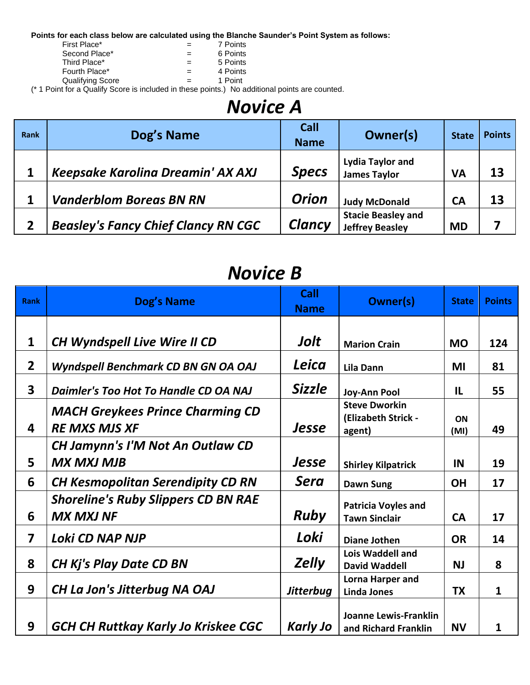**Points for each class below are calculated using the Blanche Saunder's Point System as follows:**

| יטוישנט טוויט מטוויט איזיטויט א זיסוטט טטאט ויסו |     |          |
|--------------------------------------------------|-----|----------|
| First Place*                                     |     | 7 Points |
| Second Place*                                    | $=$ | 6 Points |
| Third Place*                                     | $=$ | 5 Points |
| Fourth Place*                                    | $=$ | 4 Points |
| <b>Qualifying Score</b>                          | $=$ | 1 Point  |
|                                                  |     |          |

(\* 1 Point for a Qualify Score is included in these points.) No additional points are counted.

#### *Novice A*

| Rank | Dog's Name                                 | Call<br><b>Name</b> | Owner(s)                                            | <b>State</b> | <b>Points</b> |
|------|--------------------------------------------|---------------------|-----------------------------------------------------|--------------|---------------|
|      | Keepsake Karolina Dreamin' AX AXJ          | <b>Specs</b>        | <b>Lydia Taylor and</b><br><b>James Taylor</b>      | <b>VA</b>    | 13            |
|      | <b>Vanderblom Boreas BN RN</b>             | <b>Orion</b>        | <b>Judy McDonald</b>                                | <b>CA</b>    | 13            |
|      | <b>Beasley's Fancy Chief Clancy RN CGC</b> | <b>Clancy</b>       | <b>Stacie Beasley and</b><br><b>Jeffrey Beasley</b> | <b>MD</b>    |               |

#### *Novice B*

| <b>Rank</b>             | Dog's Name                                                      | <b>Call</b><br><b>Name</b> | <b>Owner(s)</b>                                       | <b>State</b> | <b>Points</b> |  |  |  |
|-------------------------|-----------------------------------------------------------------|----------------------------|-------------------------------------------------------|--------------|---------------|--|--|--|
|                         |                                                                 |                            |                                                       |              |               |  |  |  |
| $\mathbf 1$             | <b>CH Wyndspell Live Wire II CD</b>                             | Jolt                       | <b>Marion Crain</b>                                   | <b>MO</b>    | 124           |  |  |  |
| $\overline{2}$          | Wyndspell Benchmark CD BN GN OA OAJ                             | Leica                      | <b>Lila Dann</b>                                      | MI           | 81            |  |  |  |
| $\overline{\mathbf{3}}$ | Daimler's Too Hot To Handle CD OA NAJ                           | <b>Sizzle</b>              | Joy-Ann Pool                                          | $\mathbf{L}$ | 55            |  |  |  |
| 4                       | <b>MACH Greykees Prince Charming CD</b><br><b>RE MXS MJS XF</b> | Jesse                      | <b>Steve Dworkin</b><br>(Elizabeth Strick -<br>agent) | ON<br>(MI)   | 49            |  |  |  |
|                         | <b>CH Jamynn's I'M Not An Outlaw CD</b>                         |                            |                                                       |              |               |  |  |  |
| 5                       | <b>MX MXJ MJB</b>                                               | Jesse                      | <b>Shirley Kilpatrick</b>                             | IN           | 19            |  |  |  |
| 6                       | <b>CH Kesmopolitan Serendipity CD RN</b>                        | <b>Sera</b>                | <b>Dawn Sung</b>                                      | <b>OH</b>    | 17            |  |  |  |
| 6                       | <b>Shoreline's Ruby Slippers CD BN RAE</b><br><b>MX MXJ NF</b>  | <b>Ruby</b>                | <b>Patricia Voyles and</b><br><b>Tawn Sinclair</b>    | <b>CA</b>    | 17            |  |  |  |
| 7                       | Loki CD NAP NJP                                                 | Loki                       | Diane Jothen                                          | <b>OR</b>    | 14            |  |  |  |
| 8                       | <b>CH Kj's Play Date CD BN</b>                                  | <b>Zelly</b>               | <b>Lois Waddell and</b><br><b>David Waddell</b>       | <b>NJ</b>    | 8             |  |  |  |
| 9                       | <b>CH La Jon's Jitterbug NA OAJ</b>                             | <b>Jitterbug</b>           | Lorna Harper and<br><b>Linda Jones</b>                | <b>TX</b>    | 1             |  |  |  |
| 9                       | <b>GCH CH Ruttkay Karly Jo Kriskee CGC</b>                      | <b>Karly Jo</b>            | Joanne Lewis-Franklin<br>and Richard Franklin         | <b>NV</b>    | 1             |  |  |  |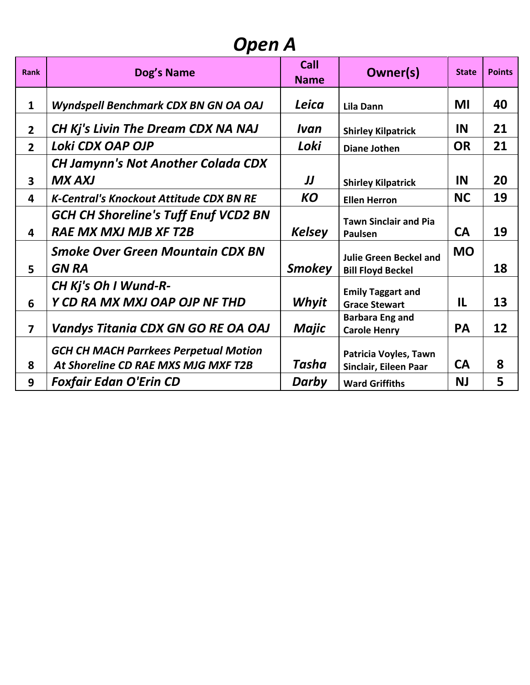### *Open A*

| <b>Rank</b>             | Dog's Name                                                                          | Call<br><b>Name</b> | <b>Owner(s)</b>                                           | <b>State</b> | <b>Points</b> |
|-------------------------|-------------------------------------------------------------------------------------|---------------------|-----------------------------------------------------------|--------------|---------------|
| $\mathbf{1}$            | Wyndspell Benchmark CDX BN GN OA OAJ                                                | Leica               | <b>Lila Dann</b>                                          | MI           | 40            |
| $\overline{2}$          | CH Kj's Livin The Dream CDX NA NAJ                                                  | Ivan                | <b>Shirley Kilpatrick</b>                                 | IN           | 21            |
| 2 <sup>1</sup>          | Loki CDX OAP OJP                                                                    | Loki                | <b>Diane Jothen</b>                                       | <b>OR</b>    | 21            |
|                         | <b>CH Jamynn's Not Another Colada CDX</b>                                           |                     |                                                           |              |               |
| $\overline{\mathbf{3}}$ | <b>MX AXJ</b>                                                                       | IJ                  | <b>Shirley Kilpatrick</b>                                 | IN           | 20            |
| $\overline{\mathbf{4}}$ | <b>K-Central's Knockout Attitude CDX BN RE</b>                                      | <b>KO</b>           | <b>Ellen Herron</b>                                       | <b>NC</b>    | 19            |
| 4                       | <b>GCH CH Shoreline's Tuff Enuf VCD2 BN</b><br><b>RAE MX MXJ MJB XF T2B</b>         | <b>Kelsey</b>       | <b>Tawn Sinclair and Pia</b><br>Paulsen                   | <b>CA</b>    | 19            |
| 5                       | <b>Smoke Over Green Mountain CDX BN</b><br><b>GN RA</b>                             | <b>Smokey</b>       | <b>Julie Green Beckel and</b><br><b>Bill Floyd Beckel</b> | <b>MO</b>    | 18            |
| 6                       | CH Kj's Oh I Wund-R-<br>Y CD RA MX MXJ OAP OJP NF THD                               | Whyit               | <b>Emily Taggart and</b><br><b>Grace Stewart</b>          | IL           | 13            |
| $\overline{7}$          | <b>Vandys Titania CDX GN GO RE OA OAJ</b>                                           | <b>Majic</b>        | <b>Barbara Eng and</b><br><b>Carole Henry</b>             | <b>PA</b>    | 12            |
| 8                       | <b>GCH CH MACH Parrkees Perpetual Motion</b><br>At Shoreline CD RAE MXS MJG MXF T2B | Tasha               | Patricia Voyles, Tawn<br>Sinclair, Eileen Paar            | <b>CA</b>    | 8             |
| 9                       | <b>Foxfair Edan O'Erin CD</b>                                                       | Darby               | <b>Ward Griffiths</b>                                     | <b>NJ</b>    | 5             |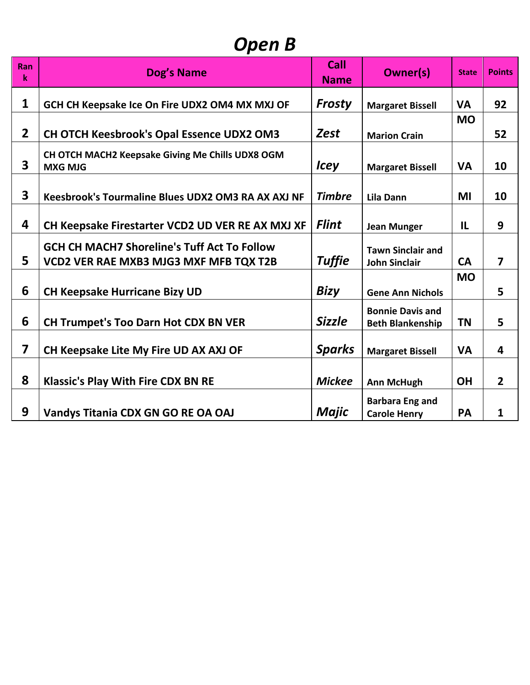## *Open B*

| Ran<br>k                | <b>Dog's Name</b>                                                                                   | Call<br><b>Name</b> | <b>Owner(s)</b>                                    | <b>State</b> | <b>Points</b>           |
|-------------------------|-----------------------------------------------------------------------------------------------------|---------------------|----------------------------------------------------|--------------|-------------------------|
| 1                       | GCH CH Keepsake Ice On Fire UDX2 OM4 MX MXJ OF                                                      | <b>Frosty</b>       | <b>Margaret Bissell</b>                            | <b>VA</b>    | 92                      |
| $\overline{2}$          | <b>CH OTCH Keesbrook's Opal Essence UDX2 OM3</b>                                                    | <b>Zest</b>         | <b>Marion Crain</b>                                | <b>MO</b>    | 52                      |
| 3                       | CH OTCH MACH2 Keepsake Giving Me Chills UDX8 OGM<br><b>MXG MJG</b>                                  | <b>Icey</b>         | <b>Margaret Bissell</b>                            | <b>VA</b>    | 10                      |
| 3                       | <b>Keesbrook's Tourmaline Blues UDX2 OM3 RA AX AXJ NF</b>                                           | <b>Timbre</b>       | <b>Lila Dann</b>                                   | MI           | 10                      |
| 4                       | CH Keepsake Firestarter VCD2 UD VER RE AX MXJ XF                                                    | <b>Flint</b>        | <b>Jean Munger</b>                                 | IL           | 9                       |
| 5                       | <b>GCH CH MACH7 Shoreline's Tuff Act To Follow</b><br><b>VCD2 VER RAE MXB3 MJG3 MXF MFB TQX T2B</b> | <b>Tuffie</b>       | <b>Tawn Sinclair and</b><br><b>John Sinclair</b>   | <b>CA</b>    | $\overline{\mathbf{z}}$ |
| 6                       | <b>CH Keepsake Hurricane Bizy UD</b>                                                                | <b>Bizy</b>         | <b>Gene Ann Nichols</b>                            | <b>MO</b>    | 5                       |
| 6                       | <b>CH Trumpet's Too Darn Hot CDX BN VER</b>                                                         | <b>Sizzle</b>       | <b>Bonnie Davis and</b><br><b>Beth Blankenship</b> | <b>TN</b>    | 5                       |
| $\overline{\mathbf{z}}$ | CH Keepsake Lite My Fire UD AX AXJ OF                                                               | <b>Sparks</b>       | <b>Margaret Bissell</b>                            | <b>VA</b>    | 4                       |
| 8                       | <b>Klassic's Play With Fire CDX BN RE</b>                                                           | <b>Mickee</b>       | <b>Ann McHugh</b>                                  | <b>OH</b>    | $\overline{2}$          |
| 9                       | Vandys Titania CDX GN GO RE OA OAJ                                                                  | Majic               | <b>Barbara Eng and</b><br><b>Carole Henry</b>      | PA           | 1                       |